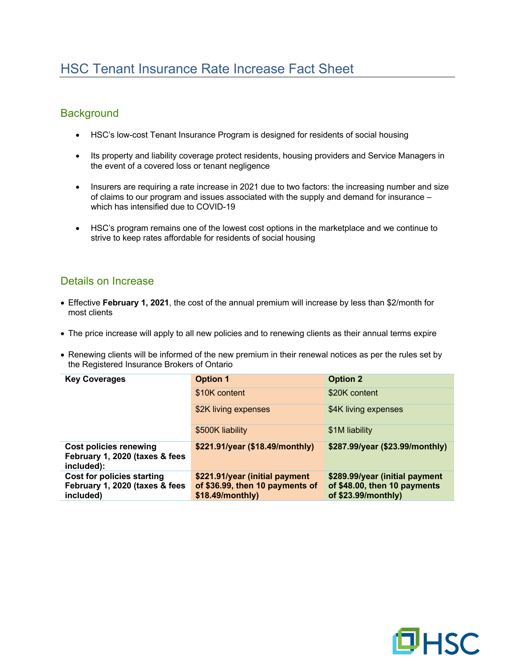## **Background**

- HSC's low-cost Tenant Insurance Program is designed for residents of social housing
- Its property and liability coverage protect residents, housing providers and Service Managers in the event of a covered loss or tenant negligence
- Insurers are requiring a rate increase in 2021 due to two factors: the increasing number and size of claims to our program and issues associated with the supply and demand for insurance – which has intensified due to COVID-19
- HSC's program remains one of the lowest cost options in the marketplace and we continue to strive to keep rates affordable for residents of social housing

## Details on Increase

- Effective **February 1, 2021**, the cost of the annual premium will increase by less than \$2/month for most clients
- The price increase will apply to all new policies and to renewing clients as their annual terms expire
- Renewing clients will be informed of the new premium in their renewal notices as per the rules set by the Registered Insurance Brokers of Ontario

| <b>Key Coverages</b>                                                             | <b>Option 1</b>                                                                       | <b>Option 2</b>                                                                       |
|----------------------------------------------------------------------------------|---------------------------------------------------------------------------------------|---------------------------------------------------------------------------------------|
|                                                                                  | \$10K content                                                                         | \$20K content                                                                         |
|                                                                                  | \$2K living expenses                                                                  | \$4K living expenses                                                                  |
|                                                                                  | \$500K liability                                                                      | \$1M liability                                                                        |
| <b>Cost policies renewing</b><br>February 1, 2020 (taxes & fees<br>included):    | \$221.91/year (\$18.49/monthly)                                                       | \$287.99/year (\$23.99/monthly)                                                       |
| <b>Cost for policies starting</b><br>February 1, 2020 (taxes & fees<br>included) | \$221.91/year (initial payment<br>of \$36.99, then 10 payments of<br>\$18.49/monthly) | \$289.99/year (initial payment<br>of \$48.00, then 10 payments<br>of \$23.99/monthly) |